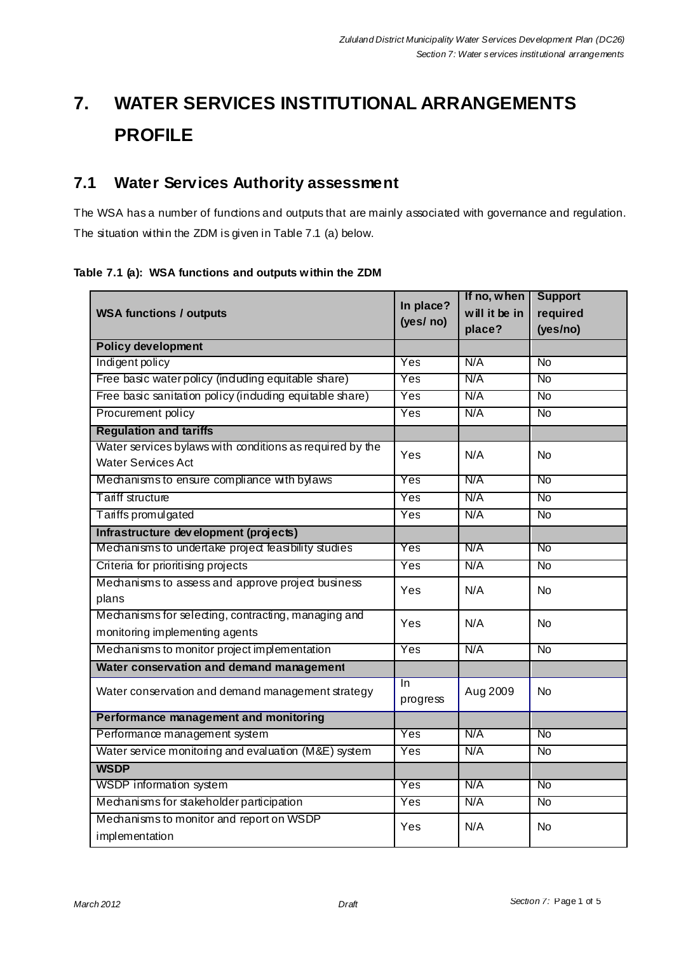# **7. WATER SERVICES INSTITUTIONAL ARRANGEMENTS PROFILE**

### **7.1 Water Services Authority assessment**

The WSA has a number of functions and outputs that are mainly associated with governance and regulation. The situation within the ZDM is given in Table 7.1 (a) below.

#### **Table 7.1 (a): WSA functions and outputs within the ZDM**

|                                                          | In place?<br>(yes/ no)  | If no, when   | <b>Support</b>         |
|----------------------------------------------------------|-------------------------|---------------|------------------------|
| <b>WSA functions / outputs</b>                           |                         | will it be in | required               |
|                                                          |                         | place?        | (yes/no)               |
| <b>Policy development</b>                                |                         |               |                        |
| Indigent policy                                          | Yes                     | N/A           | <b>No</b>              |
| Free basic water policy (induding equitable share)       | Yes                     | N/A           | <b>No</b>              |
| Free basic sanitation policy (induding equitable share)  | Yes                     | N/A           | $\overline{N}$         |
| Procurement policy                                       | Yes                     | N/A           | <b>No</b>              |
| <b>Regulation and tariffs</b>                            |                         |               |                        |
| Water services bylaws with conditions as required by the | Yes                     | N/A           | <b>No</b>              |
| <b>Water Services Act</b>                                |                         |               |                        |
| Mechanisms to ensure compliance with bylaws<br>Yes       |                         | N/A           | No                     |
| <b>Tariff structure</b>                                  | Yes                     | N/A           | <b>No</b>              |
| Tariffs promulgated                                      | Yes                     | N/A           | <b>No</b>              |
| Infrastructure development (projects)                    |                         |               |                        |
| Mechanisms to undertake project feasibility studies      | $\overline{\text{Yes}}$ | N/A           | $\overline{\text{No}}$ |
| Criteria for prioritising projects                       | Yes                     | N/A           | $\overline{N}$         |
| Mechanisms to assess and approve project business        | Yes                     | N/A           | <b>No</b>              |
| plans                                                    |                         |               |                        |
| Mechanisms for selecting, contracting, managing and      | Yes                     | N/A           | <b>No</b>              |
| monitoring implementing agents                           |                         |               |                        |
| Mechanisms to monitor project implementation             | Yes<br>N/A              |               | $\overline{N}$         |
| Water conservation and demand management                 |                         |               |                        |
| Water conservation and demand management strategy        | In                      | Aug 2009      | <b>No</b>              |
|                                                          | progress                |               |                        |
| Performance management and monitoring                    |                         |               |                        |
| Performance management system                            | Yes                     | N/A           | <b>No</b>              |
| Water service monitoring and evaluation (M&E) system     | Yes                     | N/A           | $\overline{N}$         |
| <b>WSDP</b>                                              |                         |               |                        |
| WSDP information system                                  | Yes                     | N/A           | <b>No</b>              |
| Mechanisms for stakeholder participation                 | Yes                     | N/A           | $\overline{N}$         |
| Mechanisms to monitor and report on WSDP                 | Yes                     | N/A           | No                     |
| implementation                                           |                         |               |                        |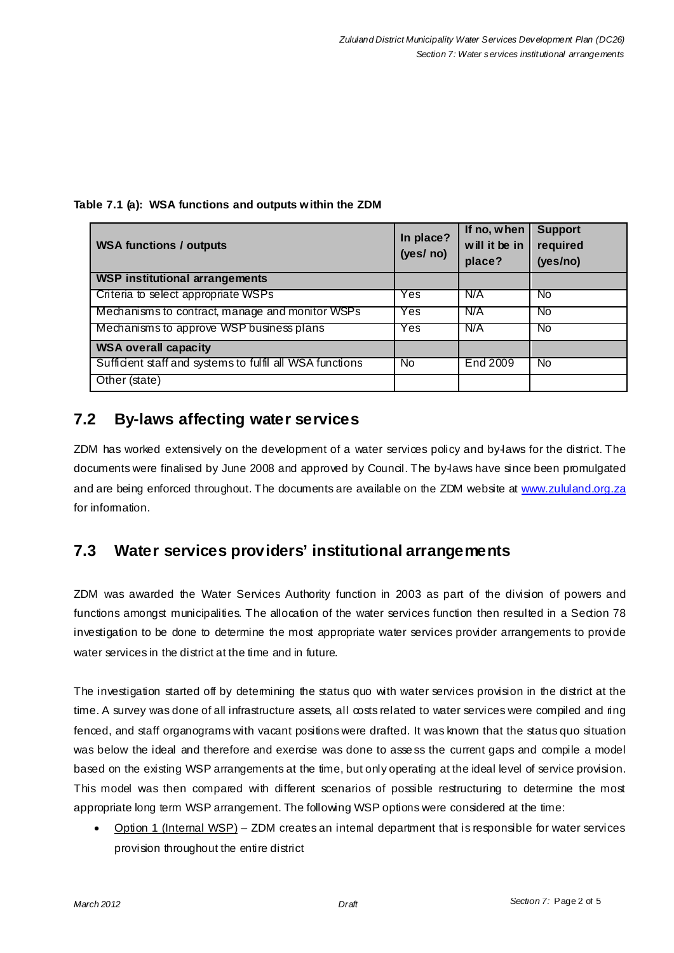**Table 7.1 (a): WSA functions and outputs within the ZDM** 

| <b>WSA functions / outputs</b>                           | In place?<br>(yes/no) | If no, when<br>will it be in<br>place? | <b>Support</b><br>required<br>(yes/no) |
|----------------------------------------------------------|-----------------------|----------------------------------------|----------------------------------------|
| <b>WSP institutional arrangements</b>                    |                       |                                        |                                        |
| Criteria to select appropriate WSPs                      | Yes                   | N/A                                    | No.                                    |
| Mechanisms to contract, manage and monitor WSPs          | Yes                   | N/A                                    | No.                                    |
| Mechanisms to approve WSP business plans                 | Yes                   | N/A                                    | No.                                    |
| <b>WSA overall capacity</b>                              |                       |                                        |                                        |
| Sufficient staff and systems to fulfil all WSA functions | <b>No</b>             | End 2009                               | No.                                    |
| Other (state)                                            |                       |                                        |                                        |

### **7.2 By-laws affecting water services**

ZDM has worked extensively on the development of a water services policy and by-laws for the district. The documents were finalised by June 2008 and approved by Council. The by-laws have since been promulgated and are being enforced throughout. The documents are available on the ZDM website at www.zululand.org.za for information.

## **7.3 Water services providers' institutional arrangements**

ZDM was awarded the Water Services Authority function in 2003 as part of the division of powers and functions amongst municipalities. The allocation of the water services function then resulted in a Section 78 investigation to be done to determine the most appropriate water services provider arrangements to provide water services in the district at the time and in future.

The investigation started off by determining the status quo with water services provision in the district at the time. A survey was done of all infrastructure assets, all costs related to water services were compiled and ring fenced, and staff organograms with vacant positions were drafted. It was known that the status quo situation was below the ideal and therefore and exercise was done to assess the current gaps and compile a model based on the existing WSP arrangements at the time, but only operating at the ideal level of service provision. This model was then compared with different scenarios of possible restructuring to determine the most appropriate long term WSP arrangement. The following WSP options were considered at the time:

Option 1 (Internal WSP) – ZDM creates an internal department that is responsible for water services provision throughout the entire district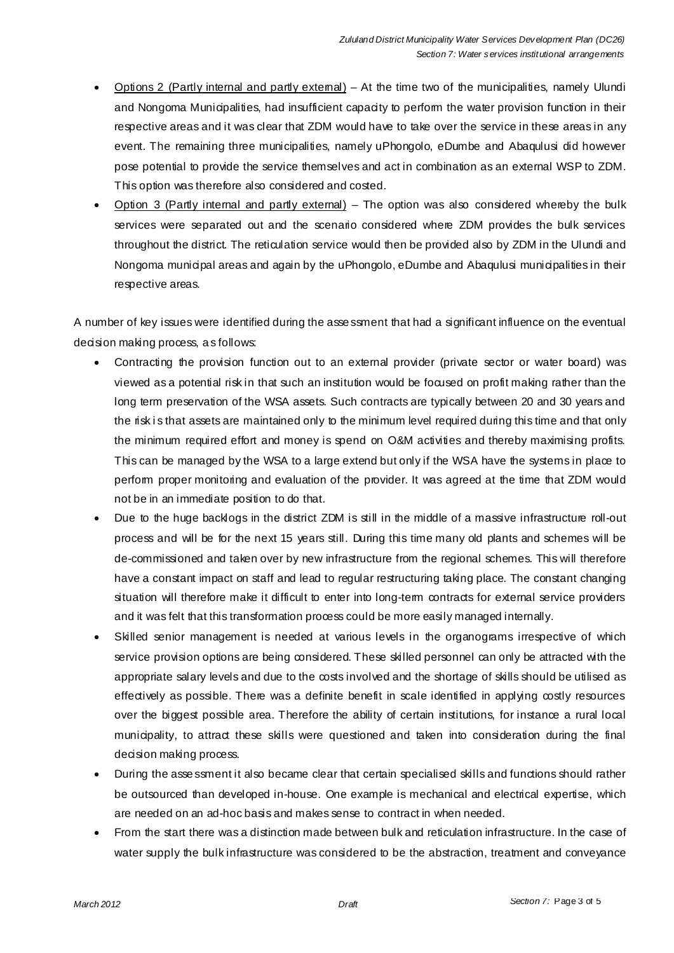- Options 2 (Partly internal and partly external) At the time two of the municipalities, namely Ulundi and Nongoma Municipalities, had insufficient capacity to perform the water provision function in their respective areas and it was clear that ZDM would have to take over the service in these areas in any event. The remaining three municipalities, namely uPhongolo, eDumbe and Abagulusi did however pose potential to provide the service themselves and act in combination as an external WSP to ZDM. This option was therefore also considered and costed.
- Option 3 (Partly internal and partly external) The option was also considered whereby the bulk services were separated out and the scenario considered where ZDM provides the bulk services throughout the district. The reticulation service would then be provided also by ZDM in the Ulundi and Nongoma municipal areas and again by the uPhongolo, eDumbe and Abaqulusi municipalities in their respective areas.

A number of key issues were identified during the asse ssment that had a significant influence on the eventual decision making process, as follows:

- Contracting the provision function out to an external provider (private sector or water board) was viewed as a potential risk in that such an institution would be focused on profit making rather than the long term preservation of the WSA assets. Such contracts are typically between 20 and 30 years and the risk is that assets are maintained only to the minimum level required during this time and that only the minimum required effort and money is spend on O&M activities and thereby maximising profits. This can be managed by the WSA to a large extend but only if the WSA have the systems in place to perform proper monitoring and evaluation of the provider. It was agreed at the time that ZDM would not be in an immediate position to do that.
- Due to the huge backlogs in the district ZDM is still in the middle of a massive infrastructure roll-out process and will be for the next 15 years still. During this time many old plants and schemes will be de-commissioned and taken over by new infrastructure from the regional schemes. This will therefore have a constant impact on staff and lead to regular restructuring taking place. The constant changing situation will therefore make it difficult to enter into long-term contracts for external service providers and it was felt that this transformation process could be more easily managed internally.
- Skilled senior management is needed at various levels in the organograms irrespective of which service provision options are being considered. These skilled personnel can only be attracted with the appropriate salary levels and due to the costs involved and the shortage of skills should be utilised as effectively as possible. There was a definite benefit in scale identified in applying costly resources over the biggest possible area. Therefore the ability of certain institutions, for instance a rural local municipality, to attract these skills were questioned and taken into consideration during the final decision making process.
- During the asse ssment it also became clear that certain specialised skills and functions should rather be outsourced than developed in-house. One example is mechanical and electrical expertise, which are needed on an ad-hoc basis and makes sense to contract in when needed.
- From the start there was a distinction made between bulk and reticulation infrastructure. In the case of water supply the bulk infrastructure was considered to be the abstraction, treatment and conveyance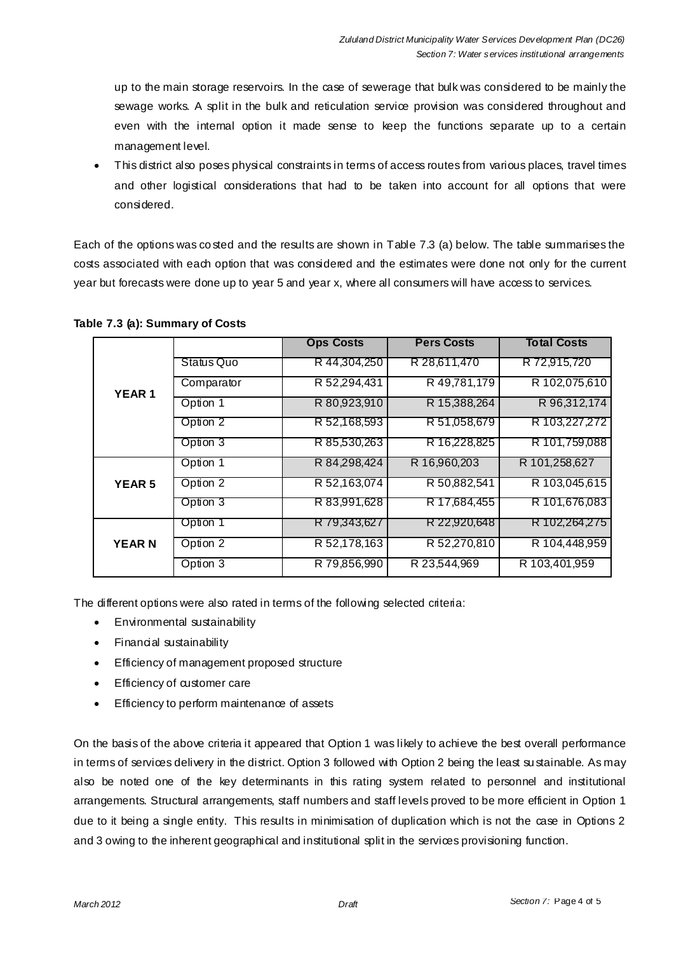up to the main storage reservoirs. In the case of sewerage that bulk was considered to be mainly the sewage works. A split in the bulk and reticulation service provision was considered throughout and even with the internal option it made sense to keep the functions separate up to a certain management level.

This district also poses physical constraints in terms of access routes from various places, travel times and other logistical considerations that had to be taken into account for all options that were considered.

Each of the options was co sted and the results are shown in Table 7.3 (a) below. The table summarises the costs associated with each option that was considered and the estimates were done not only for the current year but forecasts were done up to year 5 and year x, where all consumers will have access to services.

| <b>YEAR1</b>  |                   | <b>Ops Costs</b> | <b>Pers Costs</b> | <b>Total Costs</b> |
|---------------|-------------------|------------------|-------------------|--------------------|
|               | <b>Status Quo</b> | R 44,304,250     | R 28,611,470      | R 72,915,720       |
|               | Comparator        | R 52,294,431     | R 49,781,179      | R 102,075,610      |
|               | Option 1          | R 80,923,910     | R 15,388,264      | R 96, 312, 174     |
|               | Option 2          | R 52,168,593     | R 51,058,679      | R 103,227,272      |
|               | Option 3          | R 85,530,263     | R 16,228,825      | R 101,759,088      |
| <b>YEAR 5</b> | Option 1          | R 84,298,424     | R 16,960,203      | R 101,258,627      |
|               | Option 2          | R 52,163,074     | R 50,882,541      | R 103,045,615      |
|               | Option 3          | R 83,991,628     | R 17,684,455      | R 101,676,083      |
| <b>YEARN</b>  | Option 1          | R 79,343,627     | R 22,920,648      | R 102,264,275      |
|               | Option 2          | R 52,178,163     | R 52,270,810      | R 104,448,959      |
|               | Option 3          | R 79,856,990     | R 23,544,969      | R 103,401,959      |

#### **Table 7.3 (a): Summary of Costs**

The different options were also rated in terms of the following selected criteria:

- Environmental sustainability
- Financial sustainability
- Efficiency of management proposed structure
- **Efficiency of customer care**
- **Efficiency to perform maintenance of assets**

On the basis of the above criteria it appeared that Option 1 was likely to achieve the best overall performance in terms of services delivery in the district. Option 3 followed with Option 2 being the least su stainable. As may also be noted one of the key determinants in this rating system related to personnel and institutional arrangements. Structural arrangements, staff numbers and staff levels proved to be more efficient in Option 1 due to it being a single entity. This results in minimisation of duplication which is not the case in Options 2 and 3 owing to the inherent geographical and institutional split in the services provisioning function.